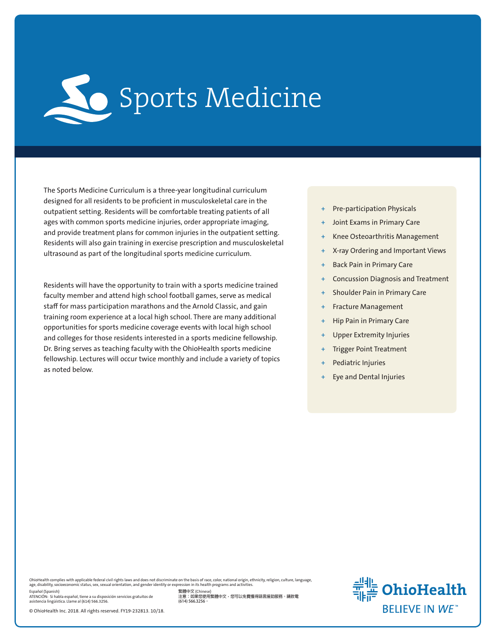

The Sports Medicine Curriculum is a three-year longitudinal curriculum designed for all residents to be proficient in musculoskeletal care in the outpatient setting. Residents will be comfortable treating patients of all ages with common sports medicine injuries, order appropriate imaging, and provide treatment plans for common injuries in the outpatient setting. Residents will also gain training in exercise prescription and musculoskeletal ultrasound as part of the longitudinal sports medicine curriculum.

Residents will have the opportunity to train with a sports medicine trained faculty member and attend high school football games, serve as medical staff for mass participation marathons and the Arnold Classic, and gain training room experience at a local high school. There are many additional opportunities for sports medicine coverage events with local high school and colleges for those residents interested in a sports medicine fellowship. Dr. Bring serves as teaching faculty with the OhioHealth sports medicine fellowship. Lectures will occur twice monthly and include a variety of topics as noted below.

- + Pre-participation Physicals
- Joint Exams in Primary Care
- Knee Osteoarthritis Management
- + X-ray Ordering and Important Views
- + Back Pain in Primary Care
- + Concussion Diagnosis and Treatment
- Shoulder Pain in Primary Care
- + Fracture Management
- + Hip Pain in Primary Care
- Upper Extremity Injuries
- **Trigger Point Treatment**
- Pediatric Injuries
- Eye and Dental Injuries

OhioHealth complies with applicable federal civil rights laws and does not discriminate on the basis of race, color, national origin, ethnicity, religion, culture, language,<br>age, disability, socioeconomic status, sex, sexu

Español (Spanish) ATENCIÓN: Si habla español, tiene a su disposición servicios gratuitos de asistencia lingüística. Llame al (614) 566.3256.

© OhioHealth Inc. 2018. All rights reserved. FY19-232813. 10/18.

**繁體中文** (Chinese) **注意:如果您使用繁體中文,您可以免費獲得語言援助服務。請致電 (614) 566.3256。**